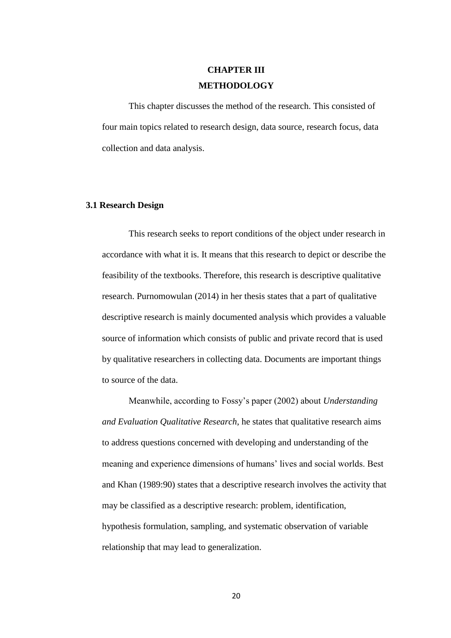# **CHAPTER III METHODOLOGY**

This chapter discusses the method of the research. This consisted of four main topics related to research design, data source, research focus, data collection and data analysis.

## **3.1 Research Design**

This research seeks to report conditions of the object under research in accordance with what it is. It means that this research to depict or describe the feasibility of the textbooks. Therefore, this research is descriptive qualitative research. Purnomowulan (2014) in her thesis states that a part of qualitative descriptive research is mainly documented analysis which provides a valuable source of information which consists of public and private record that is used by qualitative researchers in collecting data. Documents are important things to source of the data.

Meanwhile, according to Fossy's paper (2002) about *Understanding and Evaluation Qualitative Research*, he states that qualitative research aims to address questions concerned with developing and understanding of the meaning and experience dimensions of humans' lives and social worlds. Best and Khan (1989:90) states that a descriptive research involves the activity that may be classified as a descriptive research: problem, identification, hypothesis formulation, sampling, and systematic observation of variable relationship that may lead to generalization.

20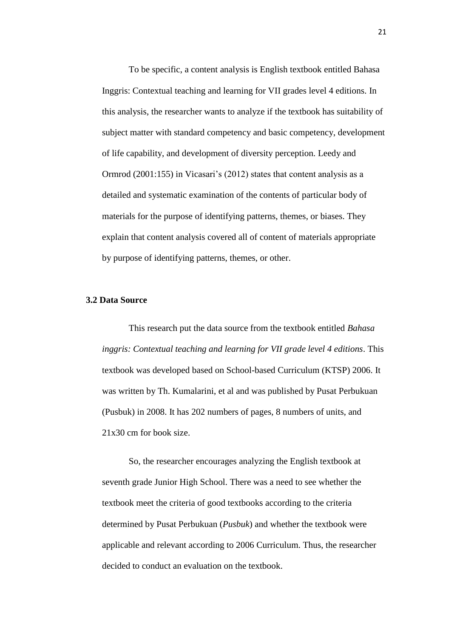To be specific, a content analysis is English textbook entitled Bahasa Inggris: Contextual teaching and learning for VII grades level 4 editions. In this analysis, the researcher wants to analyze if the textbook has suitability of subject matter with standard competency and basic competency, development of life capability, and development of diversity perception. Leedy and Ormrod (2001:155) in Vicasari's (2012) states that content analysis as a detailed and systematic examination of the contents of particular body of materials for the purpose of identifying patterns, themes, or biases. They explain that content analysis covered all of content of materials appropriate by purpose of identifying patterns, themes, or other.

## **3.2 Data Source**

This research put the data source from the textbook entitled *Bahasa inggris: Contextual teaching and learning for VII grade level 4 editions*. This textbook was developed based on School-based Curriculum (KTSP) 2006. It was written by Th. Kumalarini, et al and was published by Pusat Perbukuan (Pusbuk) in 2008. It has 202 numbers of pages, 8 numbers of units, and 21x30 cm for book size.

So, the researcher encourages analyzing the English textbook at seventh grade Junior High School. There was a need to see whether the textbook meet the criteria of good textbooks according to the criteria determined by Pusat Perbukuan (*Pusbuk*) and whether the textbook were applicable and relevant according to 2006 Curriculum. Thus, the researcher decided to conduct an evaluation on the textbook.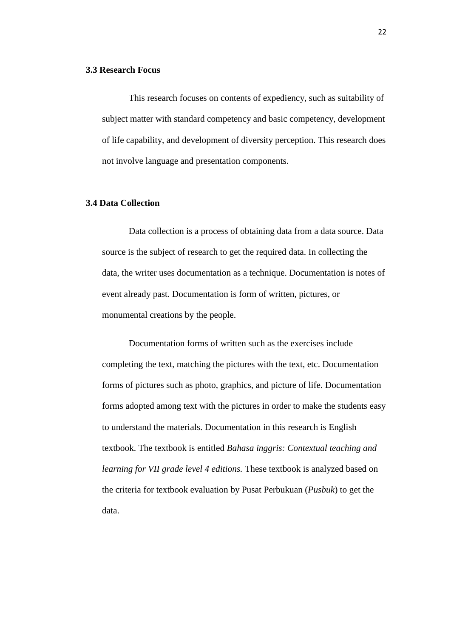#### **3.3 Research Focus**

This research focuses on contents of expediency, such as suitability of subject matter with standard competency and basic competency, development of life capability, and development of diversity perception. This research does not involve language and presentation components.

# **3.4 Data Collection**

Data collection is a process of obtaining data from a data source. Data source is the subject of research to get the required data. In collecting the data, the writer uses documentation as a technique. Documentation is notes of event already past. Documentation is form of written, pictures, or monumental creations by the people.

Documentation forms of written such as the exercises include completing the text, matching the pictures with the text, etc. Documentation forms of pictures such as photo, graphics, and picture of life. Documentation forms adopted among text with the pictures in order to make the students easy to understand the materials. Documentation in this research is English textbook. The textbook is entitled *Bahasa inggris: Contextual teaching and learning for VII grade level 4 editions.* These textbook is analyzed based on the criteria for textbook evaluation by Pusat Perbukuan (*Pusbuk*) to get the data.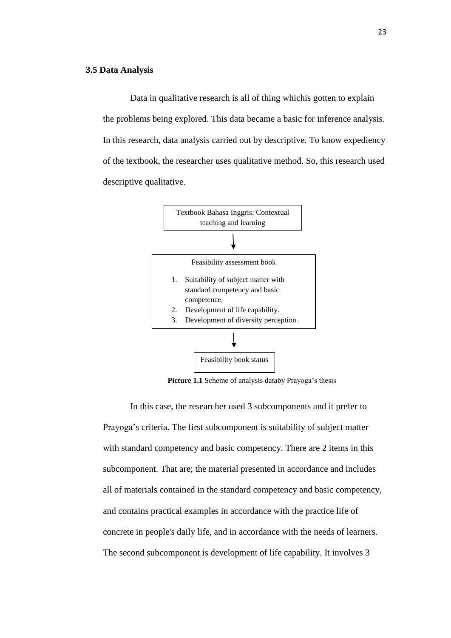#### **3.5 Data Analysis**

Data in qualitative research is all of thing whichis gotten to explain the problems being explored. This data became a basic for inference analysis. In this research, data analysis carried out by descriptive. To know expediency of the textbook, the researcher uses qualitative method. So, this research used descriptive qualitative.



Picture 1.1 Scheme of analysis databy Prayoga's thesis

In this case, the researcher used 3 subcomponents and it prefer to Prayoga's criteria. The first subcomponent is suitability of subject matter with standard competency and basic competency. There are 2 items in this subcomponent. That are; the material presented in accordance and includes all of materials contained in the standard competency and basic competency, and contains practical examples in accordance with the practice life of concrete in people's daily life, and in accordance with the needs of learners. The second subcomponent is development of life capability. It involves 3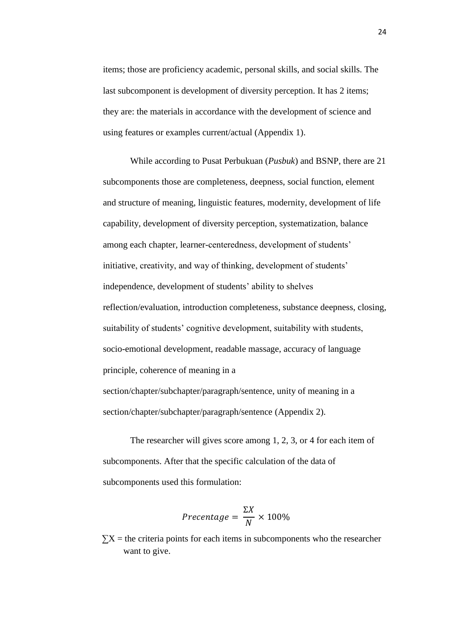items; those are proficiency academic, personal skills, and social skills. The last subcomponent is development of diversity perception. It has 2 items; they are: the materials in accordance with the development of science and using features or examples current/actual (Appendix 1).

While according to Pusat Perbukuan (*Pusbuk*) and BSNP, there are 21 subcomponents those are completeness, deepness, social function, element and structure of meaning, linguistic features, modernity, development of life capability, development of diversity perception, systematization, balance among each chapter, learner-centeredness, development of students' initiative, creativity, and way of thinking, development of students' independence, development of students' ability to shelves reflection/evaluation, introduction completeness, substance deepness, closing, suitability of students' cognitive development, suitability with students, socio-emotional development, readable massage, accuracy of language principle, coherence of meaning in a section/chapter/subchapter/paragraph/sentence, unity of meaning in a section/chapter/subchapter/paragraph/sentence (Appendix 2).

The researcher will gives score among 1, 2, 3, or 4 for each item of subcomponents. After that the specific calculation of the data of subcomponents used this formulation:

$$
Precentage = \frac{\Sigma X}{N} \times 100\%
$$

 $\sum X$  = the criteria points for each items in subcomponents who the researcher want to give.